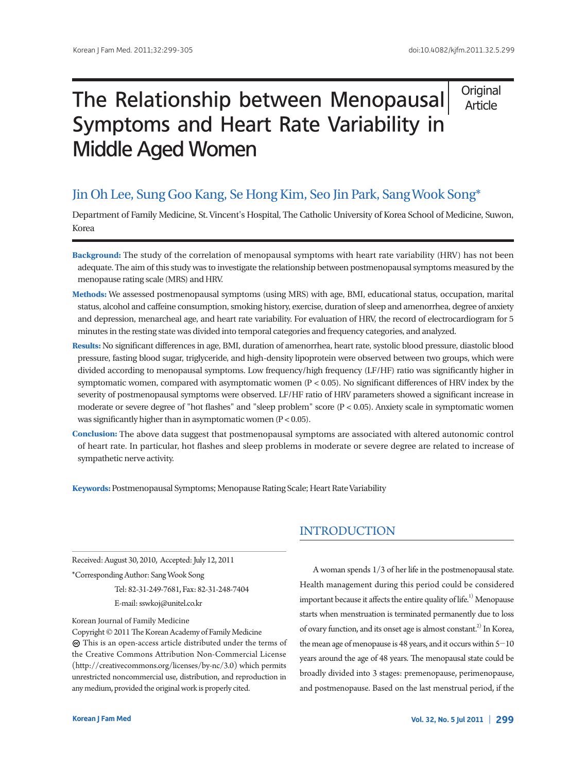**Original** Article

# The Relationship between Menopausal Symptoms and Heart Rate Variability in Middle Aged Women

# Jin Oh Lee, Sung Goo Kang, Se Hong Kim, Seo Jin Park, Sang Wook Song\*

Department of Family Medicine, St. Vincent's Hospital, The Catholic University of Korea School of Medicine, Suwon, Korea

- **Background:** The study of the correlation of menopausal symptoms with heart rate variability (HRV) has not been adequate. The aim of this study was to investigate the relationship between postmenopausal symptoms measured by the menopause rating scale (MRS) and HRV.
- **Methods:** We assessed postmenopausal symptoms (using MRS) with age, BMI, educational status, occupation, marital status, alcohol and caffeine consumption, smoking history, exercise, duration of sleep and amenorrhea, degree of anxiety and depression, menarcheal age, and heart rate variability. For evaluation of HRV, the record of electrocardiogram for 5 minutes in the resting state was divided into temporal categories and frequency categories, and analyzed.
- Results: No significant differences in age, BMI, duration of amenorrhea, heart rate, systolic blood pressure, diastolic blood pressure, fasting blood sugar, triglyceride, and high-density lipoprotein were observed between two groups, which were divided according to menopausal symptoms. Low frequency/high frequency (LF/HF) ratio was significantly higher in symptomatic women, compared with asymptomatic women  $(P < 0.05)$ . No significant differences of HRV index by the severity of postmenopausal symptoms were observed. LF/HF ratio of HRV parameters showed a significant increase in moderate or severe degree of "hot flashes" and "sleep problem" score  $(P < 0.05)$ . Anxiety scale in symptomatic women was significantly higher than in asymptomatic women  $(P < 0.05)$ .
- **Conclusion:** The above data suggest that postmenopausal symptoms are associated with altered autonomic control of heart rate. In particular, hot flashes and sleep problems in moderate or severe degree are related to increase of sympathetic nerve activity.

**Keywords:** Postmenopausal Symptoms; Menopause Rating Scale; Heart Rate Variability

Received: August 30, 2010, Accepted: July 12, 2011

\*Corresponding Author: Sang Wook Song

Tel: 82-31-249-7681, Fax: 82-31-248-7404 E-mail: sswkoj@unitel.co.kr

#### Korean Journal of Family Medicine

Copyright © 2011 The Korean Academy of Family Medicine This is an open-access article distributed under the terms of the Creative Commons Attribution Non-Commercial License (http://creativecommons.org/licenses/by-nc/3.0) which permits unrestricted noncommercial use, distribution, and reproduction in any medium, provided the original work is properly cited.

# INTRODUCTION

A woman spends 1/3 of her life in the postmenopausal state. Health management during this period could be considered important because it affects the entire quality of life.<sup>1)</sup> Menopause starts when menstruation is terminated permanently due to loss of ovary function, and its onset age is almost constant.<sup>2)</sup> In Korea, the mean age of menopause is 48 years, and it occurs within  $5-10$ years around the age of 48 years. The menopausal state could be broadly divided into 3 stages: premenopause, perimenopause, and postmenopause. Based on the last menstrual period, if the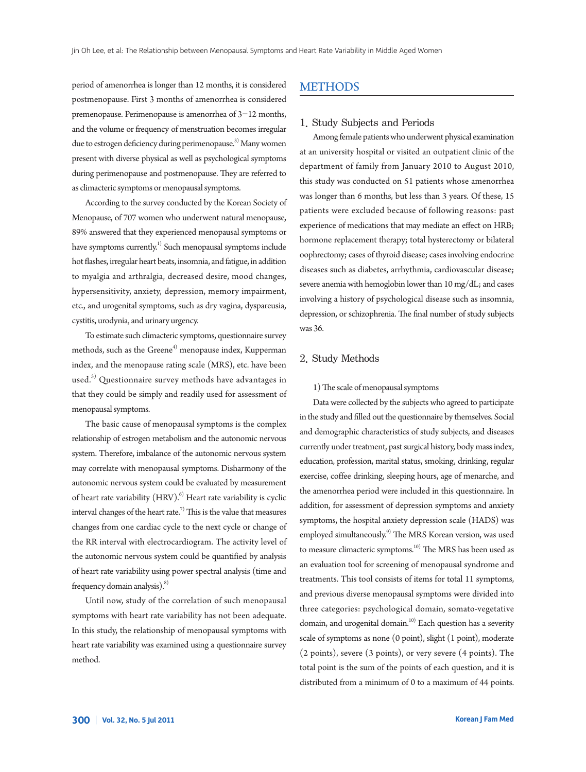period of amenorrhea is longer than 12 months, it is considered postmenopause. First 3 months of amenorrhea is considered premenopause. Perimenopause is amenorrhea of 3-12 months, and the volume or frequency of menstruation becomes irregular due to estrogen deficiency during perimenopause.<sup>3)</sup> Many women present with diverse physical as well as psychological symptoms during perimenopause and postmenopause. They are referred to as climacteric symptoms or menopausal symptoms.

According to the survey conducted by the Korean Society of Menopause, of 707 women who underwent natural menopause, 89% answered that they experienced menopausal symptoms or have symptoms currently.<sup>1)</sup> Such menopausal symptoms include hot flashes, irregular heart beats, insomnia, and fatigue, in addition to myalgia and arthralgia, decreased desire, mood changes, hypersensitivity, anxiety, depression, memory impairment, etc., and urogenital symptoms, such as dry vagina, dyspareusia, cystitis, urodynia, and urinary urgency.

To estimate such climacteric symptoms, questionnaire survey methods, such as the Greene<sup>4)</sup> menopause index, Kupperman index, and the menopause rating scale (MRS), etc. have been used.<sup>5)</sup> Questionnaire survey methods have advantages in that they could be simply and readily used for assessment of menopausal symptoms.

The basic cause of menopausal symptoms is the complex relationship of estrogen metabolism and the autonomic nervous system. Therefore, imbalance of the autonomic nervous system may correlate with menopausal symptoms. Disharmony of the autonomic nervous system could be evaluated by measurement of heart rate variability  $(HRV)$ .<sup>6)</sup> Heart rate variability is cyclic interval changes of the heart rate.<sup>7)</sup> This is the value that measures changes from one cardiac cycle to the next cycle or change of the RR interval with electrocardiogram. The activity level of the autonomic nervous system could be quantified by analysis of heart rate variability using power spectral analysis (time and frequency domain analysis).<sup>8)</sup>

Until now, study of the correlation of such menopausal symptoms with heart rate variability has not been adequate. In this study, the relationship of menopausal symptoms with heart rate variability was examined using a questionnaire survey method.

### METHODS

#### 1. Study Subjects and Periods

Among female patients who underwent physical examination at an university hospital or visited an outpatient clinic of the department of family from January 2010 to August 2010, this study was conducted on 51 patients whose amenorrhea was longer than 6 months, but less than 3 years. Of these, 15 patients were excluded because of following reasons: past experience of medications that may mediate an effect on HRB; hormone replacement therapy; total hysterectomy or bilateral oophrectomy; cases of thyroid disease; cases involving endocrine diseases such as diabetes, arrhythmia, cardiovascular disease; severe anemia with hemoglobin lower than 10 mg/dL; and cases involving a history of psychological disease such as insomnia, depression, or schizophrenia. The final number of study subjects was 36.

### 2. Study Methods

#### 1) The scale of menopausal symptoms

Data were collected by the subjects who agreed to participate in the study and filled out the questionnaire by themselves. Social and demographic characteristics of study subjects, and diseases currently under treatment, past surgical history, body mass index, education, profession, marital status, smoking, drinking, regular exercise, coffee drinking, sleeping hours, age of menarche, and the amenorrhea period were included in this questionnaire. In addition, for assessment of depression symptoms and anxiety symptoms, the hospital anxiety depression scale (HADS) was employed simultaneously.<sup>9)</sup> The MRS Korean version, was used to measure climacteric symptoms.<sup>10)</sup> The MRS has been used as an evaluation tool for screening of menopausal syndrome and treatments. This tool consists of items for total 11 symptoms, and previous diverse menopausal symptoms were divided into three categories: psychological domain, somato-vegetative domain, and urogenital domain.<sup>10)</sup> Each question has a severity scale of symptoms as none (0 point), slight (1 point), moderate (2 points), severe (3 points), or very severe (4 points). The total point is the sum of the points of each question, and it is distributed from a minimum of 0 to a maximum of 44 points.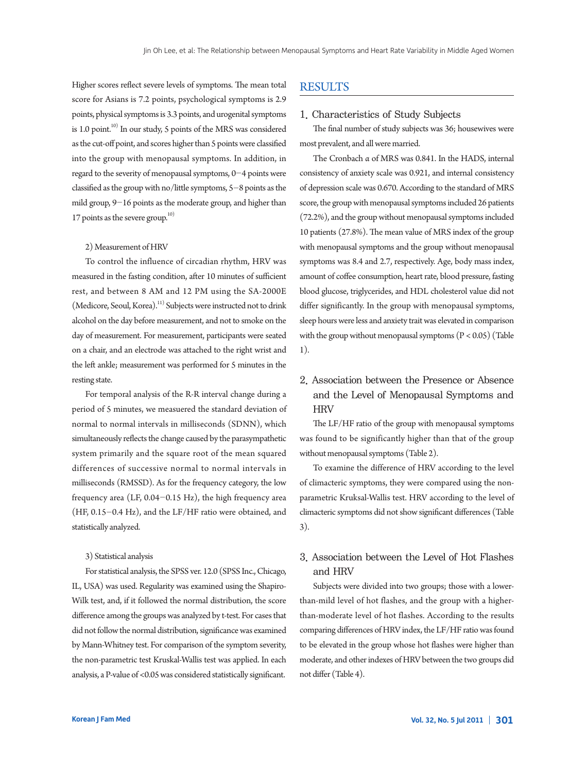Higher scores reflect severe levels of symptoms. The mean total score for Asians is 7.2 points, psychological symptoms is 2.9 points, physical symptoms is 3.3 points, and urogenital symptoms is 1.0 point. $10$ <sup>10)</sup> In our study, 5 points of the MRS was considered as the cut-off point, and scores higher than 5 points were classified into the group with menopausal symptoms. In addition, in regard to the severity of menopausal symptoms, 0-4 points were classified as the group with no/little symptoms,  $5-8$  points as the mild group, 9-16 points as the moderate group, and higher than 17 points as the severe group.<sup>10)</sup>

#### 2) Measurement of HRV

To control the influence of circadian rhythm, HRV was measured in the fasting condition, after 10 minutes of sufficient rest, and between 8 AM and 12 PM using the SA-2000E (Medicore, Seoul, Korea).<sup>11)</sup> Subjects were instructed not to drink alcohol on the day before measurement, and not to smoke on the day of measurement. For measurement, participants were seated on a chair, and an electrode was attached to the right wrist and the left ankle; measurement was performed for 5 minutes in the resting state.

For temporal analysis of the R-R interval change during a period of 5 minutes, we measuered the standard deviation of normal to normal intervals in milliseconds (SDNN), which simultaneously reflects the change caused by the parasympathetic system primarily and the square root of the mean squared differences of successive normal to normal intervals in milliseconds (RMSSD). As for the frequency category, the low frequency area (LF,  $0.04 - 0.15$  Hz), the high frequency area (HF, 0.15-0.4 Hz), and the LF/HF ratio were obtained, and statistically analyzed.

#### 3) Statistical analysis

For statistical analysis, the SPSS ver. 12.0 (SPSS Inc., Chicago, IL, USA) was used. Regularity was examined using the Shapiro-Wilk test, and, if it followed the normal distribution, the score difference among the groups was analyzed by t-test. For cases that did not follow the normal distribution, significance was examined by Mann-Whitney test. For comparison of the symptom severity, the non-parametric test Kruskal-Wallis test was applied. In each analysis, a P-value of <0.05 was considered statistically significant.

### RESULTS

#### 1. Characteristics of Study Subjects

The final number of study subjects was 36; housewives were most prevalent, and all were married.

The Cronbach α of MRS was 0.841. In the HADS, internal consistency of anxiety scale was 0.921, and internal consistency of depression scale was 0.670. According to the standard of MRS score, the group with menopausal symptoms included 26 patients (72.2%), and the group without menopausal symptoms included 10 patients (27.8%). The mean value of MRS index of the group with menopausal symptoms and the group without menopausal symptoms was 8.4 and 2.7, respectively. Age, body mass index, amount of coffee consumption, heart rate, blood pressure, fasting blood glucose, triglycerides, and HDL cholesterol value did not differ significantly. In the group with menopausal symptoms, sleep hours were less and anxiety trait was elevated in comparison with the group without menopausal symptoms  $(P < 0.05)$  (Table 1).

# 2. Association between the Presence or Absence and the Level of Menopausal Symptoms and **HRV**

The LF/HF ratio of the group with menopausal symptoms was found to be significantly higher than that of the group without menopausal symptoms (Table 2).

To examine the difference of HRV according to the level of climacteric symptoms, they were compared using the nonparametric Kruksal-Wallis test. HRV according to the level of climacteric symptoms did not show significant differences (Table 3).

### 3. Association between the Level of Hot Flashes and HRV

Subjects were divided into two groups; those with a lowerthan-mild level of hot flashes, and the group with a higherthan-moderate level of hot flashes. According to the results comparing differences of HRV index, the LF/HF ratio was found to be elevated in the group whose hot flashes were higher than moderate, and other indexes of HRV between the two groups did not differ (Table 4).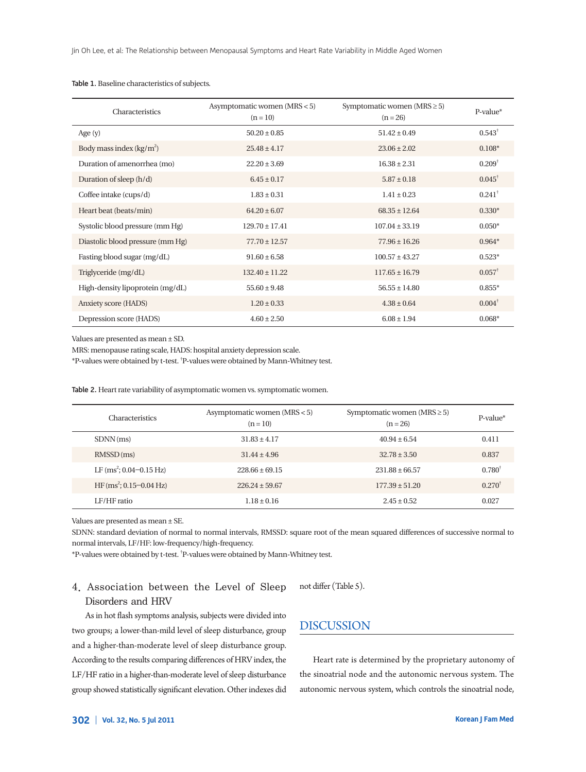| Characteristics                  | Asymptomatic women (MRS < 5)<br>Symptomatic women ( $MRS \geq 5$ )<br>$(n = 10)$<br>$(n = 26)$ |                    | $P-value^*$       |
|----------------------------------|------------------------------------------------------------------------------------------------|--------------------|-------------------|
| Age $(y)$                        | $50.20 \pm 0.85$                                                                               | $51.42 \pm 0.49$   | $0.543^{\dagger}$ |
| Body mass index $(kg/m^2)$       | $25.48 \pm 4.17$                                                                               | $23.06 \pm 2.02$   | $0.108*$          |
| Duration of amenorrhea (mo)      | $22.20 \pm 3.69$                                                                               | $16.38 \pm 2.31$   | $0.209^{\dagger}$ |
| Duration of sleep $(h/d)$        | $6.45 \pm 0.17$                                                                                | $5.87 \pm 0.18$    | $0.045^{\dagger}$ |
| Coffee intake (cups/d)           | $1.83 \pm 0.31$                                                                                | $1.41 \pm 0.23$    | $0.241^{\dagger}$ |
| Heart beat (beats/min)           | $64.20 \pm 6.07$                                                                               | $68.35 \pm 12.64$  | $0.330*$          |
| Systolic blood pressure (mm Hg)  | $129.70 \pm 17.41$                                                                             | $107.04 \pm 33.19$ | $0.050*$          |
| Diastolic blood pressure (mm Hg) | $77.70 \pm 12.57$                                                                              | $77.96 \pm 16.26$  | $0.964*$          |
| Fasting blood sugar (mg/dL)      | $91.60 \pm 6.58$                                                                               | $100.57 \pm 43.27$ | $0.523*$          |
| Triglyceride (mg/dL)             | $132.40 \pm 11.22$                                                                             | $117.65 \pm 16.79$ | $0.057^{\dagger}$ |
| High-density lipoprotein (mg/dL) | $55.60 \pm 9.48$                                                                               | $56.55 \pm 14.80$  | $0.855*$          |
| Anxiety score (HADS)             | $1.20 \pm 0.33$                                                                                | $4.38 \pm 0.64$    | $0.004^{\dagger}$ |
| Depression score (HADS)          | $4.60 \pm 2.50$                                                                                | $6.08 \pm 1.94$    | $0.068*$          |

#### Table 1. Baseline characteristics of subjects.

Values are presented as mean ± SD.

MRS: menopause rating scale, HADS: hospital anxiety depression scale.

\*P-values were obtained by t-test. † P-values were obtained by Mann-Whitney test.

Table 2. Heart rate variability of asymptomatic women vs. symptomatic women.

| <b>Characteristics</b>      | Asymptomatic women $(MRS < 5)$<br>$(n = 10)$ | Symptomatic women (MRS $\geq$ 5)<br>$(n = 26)$ | $P-value^*$       |
|-----------------------------|----------------------------------------------|------------------------------------------------|-------------------|
| $SDNN$ (ms)                 | $31.83 \pm 4.17$                             | $40.94 \pm 6.54$                               | 0.411             |
| $RMSSD$ (ms)                | $31.44 \pm 4.96$                             | $32.78 \pm 3.50$                               | 0.837             |
| LF $(ms^2; 0.04 - 0.15 Hz)$ | $228.66 \pm 69.15$                           | $231.88 \pm 66.57$                             | $0.780^{\dagger}$ |
| $HF(ms^2; 0.15-0.04 Hz)$    | $226.24 \pm 59.67$                           | $177.39 \pm 51.20$                             | $0.270^{+}$       |
| LF/HF ratio                 | $1.18 \pm 0.16$                              | $2.45 \pm 0.52$                                | 0.027             |

Values are presented as mean ± SE.

SDNN: standard deviation of normal to normal intervals, RMSSD: square root of the mean squared differences of successive normal to normal intervals, LF/HF: low-frequency/high-frequency.

\*P-values were obtained by t-test. † P-values were obtained by Mann-Whitney test.

## 4. Association between the Level of Sleep Disorders and HRV

not differ (Table 5).

As in hot flash symptoms analysis, subjects were divided into two groups; a lower-than-mild level of sleep disturbance, group and a higher-than-moderate level of sleep disturbance group. According to the results comparing differences of HRV index, the LF/HF ratio in a higher-than-moderate level of sleep disturbance group showed statistically significant elevation. Other indexes did

DISCUSSION

Heart rate is determined by the proprietary autonomy of the sinoatrial node and the autonomic nervous system. The autonomic nervous system, which controls the sinoatrial node,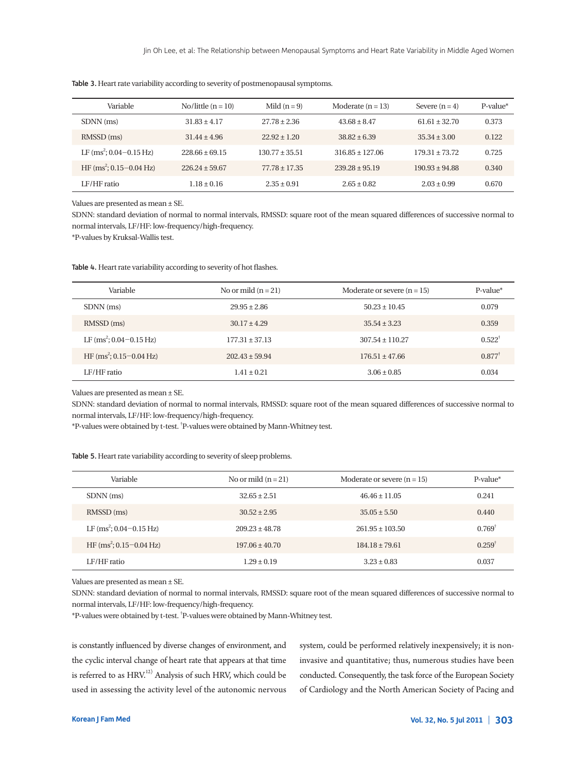| Variable                         | No/little $(n = 10)$ | Mild $(n=9)$      | Moderate $(n = 13)$ | Severe $(n = 4)$   | $P-value^*$ |
|----------------------------------|----------------------|-------------------|---------------------|--------------------|-------------|
| SDNN (ms)                        | $31.83 \pm 4.17$     | $27.78 \pm 2.36$  | $43.68 \pm 8.47$    | $61.61 \pm 32.70$  | 0.373       |
| RMSSD (ms)                       | $31.44 \pm 4.96$     | $22.92 + 1.20$    | $38.82 \pm 6.39$    | $35.34 \pm 3.00$   | 0.122       |
| LF $(ms^2; 0.04 - 0.15 Hz)$      | $228.66 + 69.15$     | $130.77 + 35.51$  | $316.85 + 127.06$   | $179.31 + 73.72$   | 0.725       |
| HF $\rm (ms^2; 0.15-0.04 \, Hz)$ | $226.24 + 59.67$     | $77.78 \pm 17.35$ | $239.28 + 95.19$    | $190.93 \pm 94.88$ | 0.340       |
| LF/HF ratio                      | $1.18 \pm 0.16$      | $2.35 + 0.91$     | $2.65 + 0.82$       | $2.03 \pm 0.99$    | 0.670       |

Table 3. Heart rate variability according to severity of postmenopausal symptoms.

Values are presented as mean ± SE.

SDNN: standard deviation of normal to normal intervals, RMSSD: square root of the mean squared differences of successive normal to normal intervals, LF/HF: low-frequency/high-frequency.

\*P-values by Kruksal-Wallis test.

Table 4. Heart rate variability according to severity of hot flashes.

| Variable                    | No or mild $(n = 21)$ | Moderate or severe $(n = 15)$ | P-value*          |
|-----------------------------|-----------------------|-------------------------------|-------------------|
| SDNN (ms)                   | $29.95 \pm 2.86$      | $50.23 \pm 10.45$             | 0.079             |
| RMSSD (ms)                  | $30.17 \pm 4.29$      | $35.54 \pm 3.23$              | 0.359             |
| LF $(ms^2; 0.04 - 0.15 Hz)$ | $177.31 \pm 37.13$    | $307.54 \pm 110.27$           | $0.522^{\dagger}$ |
| HF $(ms^2; 0.15-0.04 Hz)$   | $202.43 \pm 59.94$    | $176.51 \pm 47.66$            | $0.877^{\dagger}$ |
| LF/HF ratio                 | $1.41 \pm 0.21$       | $3.06 \pm 0.85$               | 0.034             |

Values are presented as mean ± SE.

SDNN: standard deviation of normal to normal intervals, RMSSD: square root of the mean squared differences of successive normal to normal intervals, LF/HF: low-frequency/high-frequency.

\*P-values were obtained by t-test. † P-values were obtained by Mann-Whitney test.

| <b>Table 5.</b> Heart rate variability according to severity of sleep problems. |  |  |  |
|---------------------------------------------------------------------------------|--|--|--|
|                                                                                 |  |  |  |

| Variable                         | No or mild $(n=21)$ | Moderate or severe $(n = 15)$ | $P-value^*$       |
|----------------------------------|---------------------|-------------------------------|-------------------|
| SDNN (ms)                        | $32.65 \pm 2.51$    | $46.46 \pm 11.05$             | 0.241             |
| RMSSD (ms)                       | $30.52 \pm 2.95$    | $35.05 \pm 5.50$              | 0.440             |
| LF $(ms^2; 0.04 - 0.15 Hz)$      | $209.23 \pm 48.78$  | $261.95 + 103.50$             | $0.769^{\dagger}$ |
| HF $\rm (ms^2; 0.15-0.04 \, Hz)$ | $197.06 + 40.70$    | $184.18 \pm 79.61$            | $0.259^{\dagger}$ |
| LF/HF ratio                      | $1.29 + 0.19$       | $3.23 \pm 0.83$               | 0.037             |

Values are presented as mean ± SE.

SDNN: standard deviation of normal to normal intervals, RMSSD: square root of the mean squared differences of successive normal to normal intervals, LF/HF: low-frequency/high-frequency.

\*P-values were obtained by t-test. † P-values were obtained by Mann-Whitney test.

is constantly influenced by diverse changes of environment, and the cyclic interval change of heart rate that appears at that time is referred to as  $HRV<sup>12)</sup>$  Analysis of such HRV, which could be used in assessing the activity level of the autonomic nervous system, could be performed relatively inexpensively; it is noninvasive and quantitative; thus, numerous studies have been conducted. Consequently, the task force of the European Society of Cardiology and the North American Society of Pacing and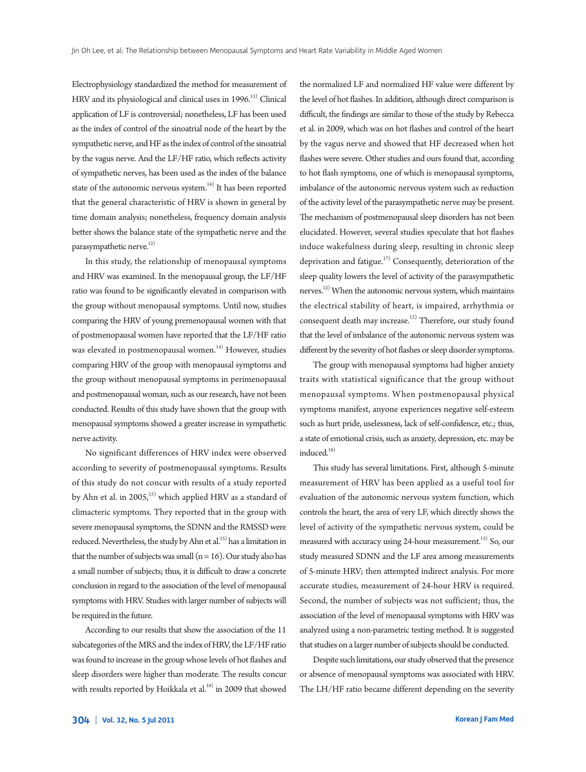Electrophysiology standardized the method for measurement of HRV and its physiological and clinical uses in 1996.<sup>13)</sup> Clinical application of LF is controversial; nonetheless, LF has been used as the index of control of the sinoatrial node of the heart by the sympathetic nerve, and HF as the index of control of the sinoatrial by the vagus nerve. And the LF/HF ratio, which reflects activity of sympathetic nerves, has been used as the index of the balance state of the autonomic nervous system. $14)$  It has been reported that the general characteristic of HRV is shown in general by time domain analysis; nonetheless, frequency domain analysis better shows the balance state of the sympathetic nerve and the parasympathetic nerve. $^{12)}$ 

In this study, the relationship of menopausal symptoms and HRV was examined. In the menopausal group, the LF/HF ratio was found to be significantly elevated in comparison with the group without menopausal symptoms. Until now, studies comparing the HRV of young premenopausal women with that of postmenopausal women have reported that the LF/HF ratio was elevated in postmenopausal women.<sup>14)</sup> However, studies comparing HRV of the group with menopausal symptoms and the group without menopausal symptoms in perimenopausal and postmenopausal woman, such as our research, have not been conducted. Results of this study have shown that the group with menopausal symptoms showed a greater increase in sympathetic nerve activity.

No significant differences of HRV index were observed according to severity of postmenopausal symptoms. Results of this study do not concur with results of a study reported by Ahn et al. in  $2005$ ,<sup>15)</sup> which applied HRV as a standard of climacteric symptoms. They reported that in the group with severe menopausal symptoms, the SDNN and the RMSSD were reduced. Nevertheless, the study by Ahn et al.<sup>15)</sup> has a limitation in that the number of subjects was small  $(n = 16)$ . Our study also has a small number of subjects; thus, it is difficult to draw a concrete conclusion in regard to the association of the level of menopausal symptoms with HRV. Studies with larger number of subjects will be required in the future.

According to our results that show the association of the 11 subcategories of the MRS and the index of HRV, the LF/HF ratio was found to increase in the group whose levels of hot flashes and sleep disorders were higher than moderate. The results concur with results reported by Hoikkala et al.<sup>16)</sup> in 2009 that showed the normalized LF and normalized HF value were different by the level of hot flashes. In addition, although direct comparison is difficult, the findings are similar to those of the study by Rebecca et al. in 2009, which was on hot flashes and control of the heart by the vagus nerve and showed that HF decreased when hot flashes were severe. Other studies and ours found that, according to hot flash symptoms, one of which is menopausal symptoms, imbalance of the autonomic nervous system such as reduction of the activity level of the parasympathetic nerve may be present. The mechanism of postmenopausal sleep disorders has not been elucidated. However, several studies speculate that hot flashes induce wakefulness during sleep, resulting in chronic sleep deprivation and fatigue.<sup>17)</sup> Consequently, deterioration of the sleep quality lowers the level of activity of the parasympathetic nerves.<sup>12)</sup> When the autonomic nervous system, which maintains the electrical stability of heart, is impaired, arrhythmia or consequent death may increase.<sup>12)</sup> Therefore, our study found that the level of imbalance of the autonomic nervous system was different by the severity of hot flashes or sleep disorder symptoms.

The group with menopausal symptoms had higher anxiety traits with statistical significance that the group without menopausal symptoms. When postmenopausal physical symptoms manifest, anyone experiences negative self-esteem such as hurt pride, uselessness, lack of self-confidence, etc.; thus, a state of emotional crisis, such as anxiety, depression, etc. may be induced.<sup>18)</sup>

This study has several limitations. First, although 5-minute measurement of HRV has been applied as a useful tool for evaluation of the autonomic nervous system function, which controls the heart, the area of very LF, which directly shows the level of activity of the sympathetic nervous system, could be measured with accuracy using 24-hour measurement.<sup>13)</sup> So, our study measured SDNN and the LF area among measurements of 5-minute HRV; then attempted indirect analysis. For more accurate studies, measurement of 24-hour HRV is required. Second, the number of subjects was not sufficient; thus, the association of the level of menopausal symptoms with HRV was analyzed using a non-parametric testing method. It is suggested that studies on a larger number of subjects should be conducted.

Despite such limitations, our study observed that the presence or absence of menopausal symptoms was associated with HRV. The LH/HF ratio became different depending on the severity